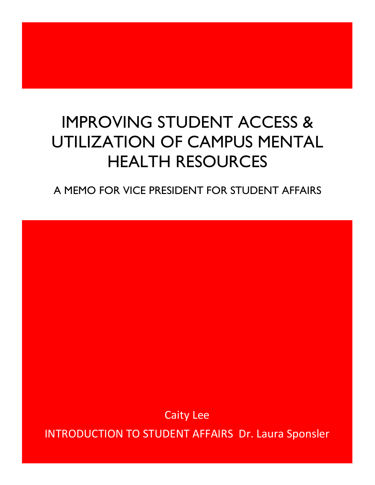# IMPROVING STUDENT ACCESS & UTILIZATION OF CAMPUS MENTAL HEALTH RESOURCES

A MEMO FOR VICE PRESIDENT FOR STUDENT AFFAIRS

**Caity Lee** 

**INTRODUCTION TO STUDENT AFFAIRS Dr. Laura Sponsler**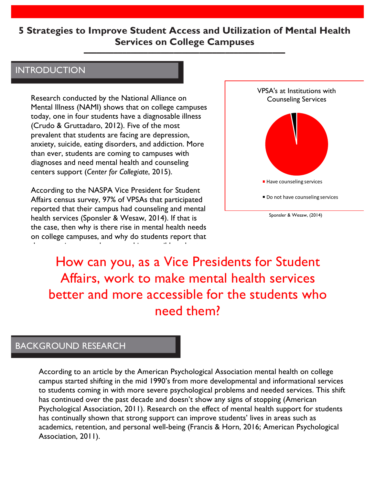### **5 Strategies to Improve Student Access and Utilization of Mental Health Services on College Campuses**

**–––––––––––––––––––––––––––––––––––––––––––––––**

### **INTRODUCTION**

Research conducted by the National Alliance on Mental Illness (NAMI) shows that on college campuses today, one in four students have a diagnosable illness (Crudo & Gruttadaro, 2012). Five of the most prevalent that students are facing are depression, anxiety, suicide, eating disorders, and addiction. More than ever, students are coming to campuses with diagnoses and need mental health and counseling centers support (*Center for Collegiate*, 2015).

According to the NASPA Vice President for Student Affairs census survey, 97% of VPSAs that participated reported that their campus had counseling and mental health services (Sponsler & Wesaw, 2014). If that is the case, then why is there rise in mental health needs on college campuses, and why do students report that

those services are unknown and inaccessible at best



How can you, as a Vice Presidents for Student Affairs, work to make mental health services better and more accessible for the students who need them?

### BACKGROUND RESEARCH

According to an article by the American Psychological Association mental health on college campus started shifting in the mid 1990's from more developmental and informational services to students coming in with more severe psychological problems and needed services. This shift has continued over the past decade and doesn't show any signs of stopping (American Psychological Association, 2011). Research on the effect of mental health support for students has continually shown that strong support can improve students' lives in areas such as academics, retention, and personal well-being (Francis & Horn, 2016; American Psychological Association, 2011).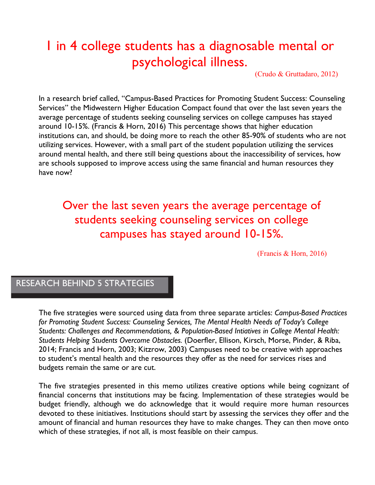# 1 in 4 college students has a diagnosable mental or psychological illness.

(Crudo & Gruttadaro, 2012)

In a research brief called, "Campus-Based Practices for Promoting Student Success: Counseling Services" the Midwestern Higher Education Compact found that over the last seven years the average percentage of students seeking counseling services on college campuses has stayed around 10-15%. (Francis & Horn, 2016) This percentage shows that higher education institutions can, and should, be doing more to reach the other 85-90% of students who are not utilizing services. However, with a small part of the student population utilizing the services around mental health, and there still being questions about the inaccessibility of services, how are schools supposed to improve access using the same financial and human resources they have now?

# Over the last seven years the average percentage of students seeking counseling services on college campuses has stayed around 10-15%.

(Francis & Horn, 2016)

### RESEARCH BEHIND 5 STRATEGIES

The five strategies were sourced using data from three separate articles: *Campus-Based Practices for Promoting Student Success: Counseling Services, The Mental Health Needs of Today's College Students: Challenges and Recommendations, & Population-Based Intiatives in College Mental Health: Students Helping Students Overcome Obstacles.* (Doerfler, Ellison, Kirsch, Morse, Pinder, & Riba, 2014; Francis and Horn, 2003; Kitzrow, 2003) Campuses need to be creative with approaches to student's mental health and the resources they offer as the need for services rises and budgets remain the same or are cut.

The five strategies presented in this memo utilizes creative options while being cognizant of financial concerns that institutions may be facing. Implementation of these strategies would be budget friendly, although we do acknowledge that it would require more human resources devoted to these initiatives. Institutions should start by assessing the services they offer and the amount of financial and human resources they have to make changes. They can then move onto which of these strategies, if not all, is most feasible on their campus.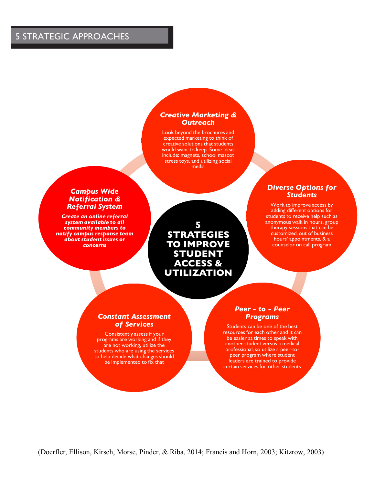### 5 STRATEGIC APPROACHES

#### *Creative Marketing & Outreach*

Look beyond the brochures and expected marketing to think of creative solutions that students would want to keep. Some ideas include: magnets, school mascot stress toys, and utilizing social media

#### *Campus Wide Notification & Referral System*

*Create an online referral system available to all community members to notify campus response team about student issues or concerns*

**5 STRATEGIES TO IMPROVE STUDENT ACCESS & UTILIZATION**

#### *Diverse Options for Students*

Work to improve access by adding different options for students to receive help such as anonymous walk in hours, group therapy sessions that can be customized, out of business hours' appointments, & a counselor on call program

#### *Constant Assessment of Services*

Consistently assess if your programs are working and if they are not working, utilize the students who are using the services to help decide what changes should be implemented to fix that

#### *Peer - to - Peer Programs*

Students can be one of the best resources for each other and it can be easier at times to speak with another student versus a medical professional, so utilize a peer-topeer program where student leaders are trained to provide certain services for other students

(Doerfler, Ellison, Kirsch, Morse, Pinder, & Riba, 2014; Francis and Horn, 2003; Kitzrow, 2003)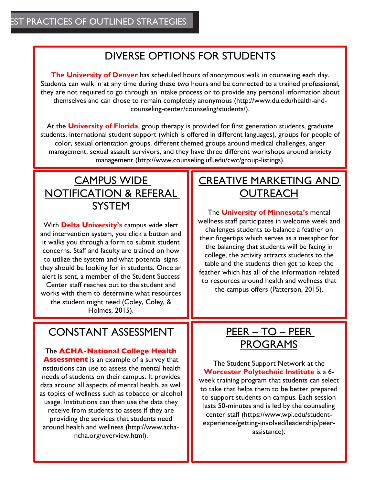## DIVERSE OPTIONS FOR STUDENTS

**The University of Denver** has scheduled hours of anonymous walk in counseling each day. Students can walk in at any time during these two hours and be connected to a trained professional, they are not required to go through an intake process or to provide any personal information about themselves and can chose to remain completely anonymous (http://www.du.edu/health-andcounseling-center/counseling/students/).

At the **University of Florida**, group therapy is provided for first generation students, graduate students, international student support (which is offered in different languages), groups for people of color, sexual orientation groups, different themed groups around medical challenges, anger management, sexual assault survivors, and they have three different workshops around anxiety management (http://www.counseling.ufl.edu/cwc/group-listings).

# CAMPUS WIDE NOTIFICATION & REFERAL **SYSTEM**

With **Delta University's** campus wide alert and intervention system, you click a button and it walks you through a form to submit student concerns. Staff and faculty are trained on how to utilize the system and what potential signs they should be looking for in students. Once an alert is sent, a member of the Student Success Center staff reaches out to the student and works with them to determine what resources the student might need (Coley, Coley, & Holmes, 2015).

### CONSTANT ASSESSMENT

The **ACHA-National College Health Assessment** is an example of a survey that institutions can use to assess the mental health needs of students on their campus. It provides data around all aspects of mental health, as well as topics of wellness such as tobacco or alcohol usage. Institutions can then use the data they receive from students to assess if they are providing the services that students need around health and wellness (http://www.achancha.org/overview.html).

## CREATIVE MARKETING AND **OUTREACH**

The **University of Minnesota's** mental wellness staff participates in welcome week and challenges students to balance a feather on their fingertips which serves as a metaphor for the balancing that students will be facing in college, the activity attracts students to the table and the students then get to keep the feather which has all of the information related to resources around health and wellness that the campus offers (Patterson, 2015).

# PEER – TO – PEER PROGRAMS

The Student Support Network at the **Worcester Polytechnic Institute** is a 6 week training program that students can select to take that helps them to be better prepared to support students on campus. Each session lasts 50-minutes and is led by the counseling center staff (https://www.wpi.edu/studentexperience/getting-involved/leadership/peerassistance).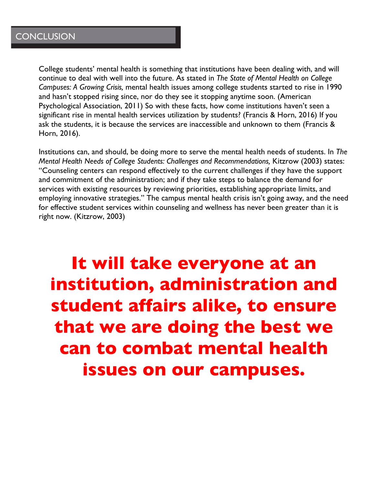College students' mental health is something that institutions have been dealing with, and will continue to deal with well into the future. As stated in *The State of Mental Health on College Campuses: A Growing Crisis,* mental health issues among college students started to rise in 1990 and hasn't stopped rising since, nor do they see it stopping anytime soon. (American Psychological Association, 2011) So with these facts, how come institutions haven't seen a significant rise in mental health services utilization by students? (Francis & Horn, 2016) If you ask the students, it is because the services are inaccessible and unknown to them (Francis & Horn, 2016).

Institutions can, and should, be doing more to serve the mental health needs of students. In *The Mental Health Needs of College Students: Challenges and Recommendations, Kitzrow (2003) states:* "Counseling centers can respond effectively to the current challenges if they have the support and commitment of the administration; and if they take steps to balance the demand for services with existing resources by reviewing priorities, establishing appropriate limits, and employing innovative strategies." The campus mental health crisis isn't going away, and the need for effective student services within counseling and wellness has never been greater than it is right now. (Kitzrow, 2003)

# **It will take everyone at an institution, administration and student affairs alike, to ensure that we are doing the best we can to combat mental health issues on our campuses.**